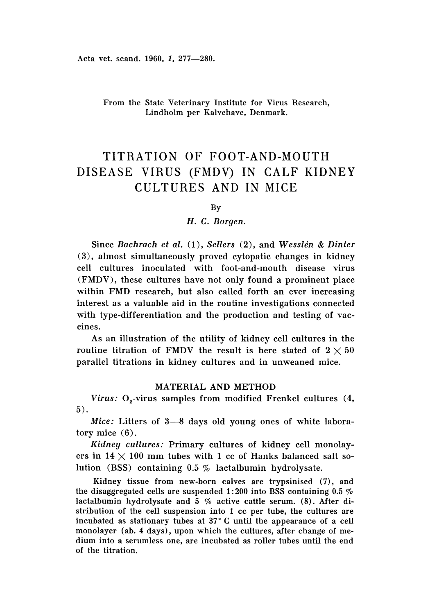# From the State Veterinary Institute for Virus Research, Lindholm per Kalvehave, Denmark.

# TITRATION OF FOOT-AND-MOUTH DISEASE VIRUS (FMDV) IN CALF KIDNEY CULTURES AND IN MICE

By

# *H.* C. *Borgen.*

Since *Bachrach et al.* (1), *Sellers* (2), and *Wesslén & Dinter* (3), almost simultaneously proved cytopatic changes in kidney cell cultures inoculated with foot-and-mouth disease virus (FMDV), these cultures have not only found a prominent place within FMD research, but also called forth an ever increasing interest as a valuable aid in the routine investigations connected with type-differentiation and the production and testing of vaccines.

As an illustration of the utility of kidney cell cultures in the routine titration of FMDV the result is here stated of  $2 \times 50$ parallel titrations in kidney cultures and in unweaned mice.

# MATERIAL AND METHOD

*Virus:* O<sub>2</sub>-virus samples from modified Frenkel cultures (4, 5) .

*Mice:* Litters of 3-8 days old young ones of white laboratory mice (6).

*Kidney cultures:* Primary cultures of kidney cell monolayers in  $14 \times 100$  mm tubes with 1 cc of Hanks balanced salt solution (BSS) containing 0.5 % lactalbumin hydrolysate.

Kidney tissue from new-born calves are trypsinised (7), and the disaggregated cells are suspended 1: 200 into BSS containing 0.5 *0/0* lactalbumin hydrolysate and 5 *%* active cattle serum. (8). After distribution of the cell suspension into 1 cc per tube, the cultures are incubated as stationary tubes at 37°C until the appearance of a cell monolayer (ab. 4 days), upon which the cultures, after change of medium into a serumless one, are incubated as roller tubes until the end of the titration.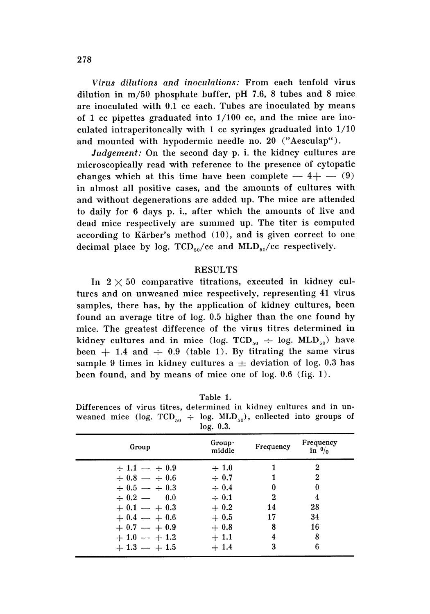*Virus dilutions and inoculations:* From each tenfold virus dilution in  $m/50$  phosphate buffer, pH 7.6, 8 tubes and 8 mice are inoculated with 0.1 cc each. Tubes are inoculated by means of 1 cc pipettes graduated into  $1/100$  cc, and the mice are inoculated intraperitoneally with 1 cc syringes graduated into  $1/10$ and mounted with hypodermic needle no. 20 ("Aesculap").

*Judgement:* On the second day p. i. the kidney cultures are microscopically read with reference to the presence of cytopatic changes which at this time have been complete  $-4+$   $-$  (9) in almost all positive cases, and the amounts of cultures with and without degenerations are added up. The mice are attended to daily for 6 days p. i., after which the amounts of live and dead mice respectively are summed up. The titer is computed according to Kärber's method  $(10)$ , and is given correct to one decimal place by log.  $TCD_{50}/cc$  and  $MLD_{50}/cc$  respectively.

# **RESULTS**

In  $2 \times 50$  comparative titrations, executed in kidney cultures and on unweaned mice respectively, representing 41 virus samples, there has, by the application of kidney cultures, been found an average titre of  $log. 0.5$  higher than the one found by mice. The greatest difference of the virus titres determined in kidney cultures and in mice (log. TCD<sub>50</sub>  $\div$  log. MLD<sub>50</sub>) have been  $+$  1.4 and  $\div$  0.9 (table 1). By titrating the same virus sample 9 times in kidney cultures a  $\pm$  deviation of log. 0.3 has been found, and by means of mice one of log.  $0.6$  (fig. 1).

## Table 1.

Differences of virus titres, determined in kidney cultures and in unweaned mice (log.  $TCD_{50} \div \log MLD_{50}$ ), collected into groups of log. 0.3.

|                       | 10g. v.s.        |           |                               |  |
|-----------------------|------------------|-----------|-------------------------------|--|
| Group                 | Group-<br>middle | Frequency | Frequency<br>in $\frac{0}{0}$ |  |
| $\div 1.1 - \div 0.9$ | $\div$ 1.0       |           | 2                             |  |
| $\div 0.8 - \div 0.6$ | $\div 0.7$       |           | $\bf{2}$                      |  |
| $\div 0.5 - \div 0.3$ | $\div 0.4$       |           |                               |  |
| $\div 0.2 = 0.0$      | $\div 0.1$       | 2         |                               |  |
| $+0.1 - +0.3$         | $+0.2$           | 14        | 28                            |  |
| $+0.4 - +0.6$         | $+0.5$           | 17        | 34                            |  |
| $+0.7 - +0.9$         | $+0.8$           | 8         | 16                            |  |
| $+1.0 - +1.2$         | $+1.1$           | 4         | 8                             |  |
| $+1.3 - +1.5$         | $+1.4$           | 3         | 6                             |  |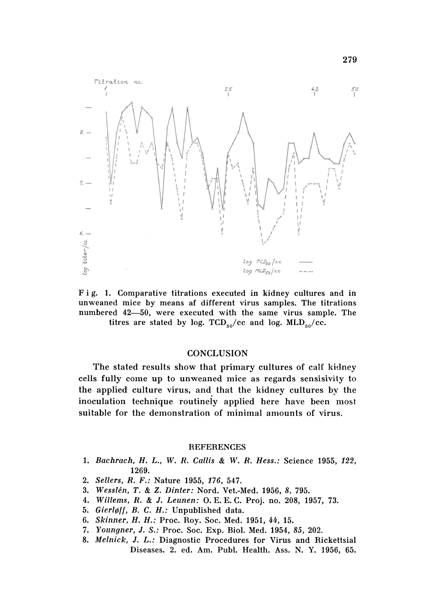

Fig. 1. Comparative titrations executed in kidney cultures and in unweaned mice by means af different virus samples. The titrations numbered 42-50, were executed with the same virus sample. The titres are stated by log. TCD<sub>50</sub>/cc and log. MLD<sub>50</sub>/cc.

# **CONCLUSION**

The stated results show that primary cultures of calf kidney cells fully come up to unweaned mice as regards sensisivily to the applied culture virus, and that the kidney cultures by the inoculation technique routinely applied here have been most suitable for the demonstration of minimal amounts of virus.

#### **REFERENCES**

- *1. Bachrach, H.* L., W. *R. Callis* & W. *R. Hess.:* Science 1955, 122, 1269.
- *2. Sellers, R. F.:* Nature 1955, 176, 547.
- *3. Wesslen, T.* & *Z. Dinter:* Nord. Vet.-Med. 1956, 8, 795.
- *4. Willems, R.* & J. *Leunen:* O. E. E. C. Proj. no. 208, 1957, 73.
- *5. Gierlei], B.* C. *H.:* Unpublished data.
- *6. Skinner, H. H.:* Proc, Roy. Soc. Med. 1951, 44, 15.
- *7. Youngner,* J. *S.:* Proc. Soc. Exp. BioI. Med. 1954, 85, 202.
- *8. Melnick,* J. *L.:* Diagnostic Procedures for Virus and Rickettsial Diseases. 2. ed. Am. Pubi. Health. Ass. N. Y. 1956, 65.